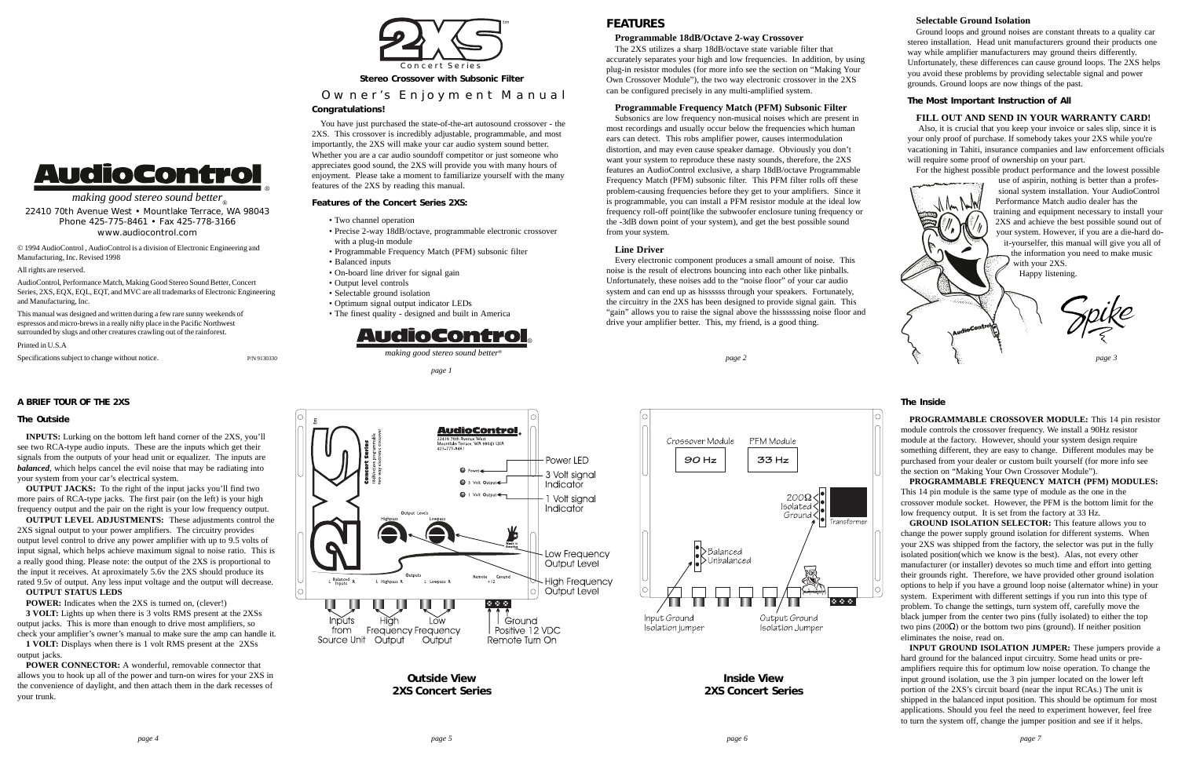#### **The Inside**

**PROGRAMMABLE CROSSOVER MODULE:** This 14 pin resistor module controls the crossover frequency. We install a 90Hz resistor module at the factory. However, should your system design require something different, they are easy to change. Different modules may be purchased from your dealer or custom built yourself (for more info see the section on "Making Your Own Crossover Module").

**PROGRAMMABLE FREQUENCY MATCH (PFM) MODULES:** This 14 pin module is the same type of module as the one in the crossover module socket. However, the PFM is the bottom limit for the low frequency output. It is set from the factory at 33 Hz.

**GROUND ISOLATION SELECTOR:** This feature allows you to change the power supply ground isolation for different systems. When your 2XS was shipped from the factory, the selector was put in the fully isolated position(which we know is the best). Alas, not every other manufacturer (or installer) devotes so much time and effort into getting their grounds right. Therefore, we have provided other ground isolation options to help if you have a ground loop noise (alternator whine) in your system. Experiment with different settings if you run into this type of problem. To change the settings, turn system off, carefully move the black jumper from the center two pins (fully isolated) to either the top two pins (200 $\Omega$ ) or the bottom two pins (ground). If neither position eliminates the noise, read on.

**INPUT GROUND ISOLATION JUMPER:** These jumpers provide a hard ground for the balanced input circuitry. Some head units or preamplifiers require this for optimum low noise operation. To change the input ground isolation, use the 3 pin jumper located on the lower left portion of the 2XS's circuit board (near the input RCAs.) The unit is shipped in the balanced input position. This should be optimum for most applications. Should you feel the need to experiment however, feel free to turn the system off, change the jumper position and see if it helps.

**POWER CONNECTOR:** A wonderful, removable connector that allows you to hook up all of the power and turn-on wires for your 2XS in the convenience of daylight, and then attach them in the dark recesses of your trunk.





**Outside View 2XS Concert Series**

**Inside View 2XS Concert Series**

#### **A BRIEF TOUR OF THE 2XS**

#### **The Outside**

**INPUTS:** Lurking on the bottom left hand corner of the 2XS, you'll see two RCA-type audio inputs. These are the inputs which get their signals from the outputs of your head unit or equalizer. The inputs are *balanced*, which helps cancel the evil noise that may be radiating into your system from your car's electrical system.

**OUTPUT JACKS:** To the right of the input jacks you'll find two more pairs of RCA-type jacks. The first pair (on the left) is your high frequency output and the pair on the right is your low frequency output.

**OUTPUT LEVEL ADJUSTMENTS:** These adjustments control the 2XS signal output to your power amplifiers. The circuitry provides output level control to drive any power amplifier with up to 9.5 volts of input signal, which helps achieve maximum signal to noise ratio. This is a really good thing. Please note: the output of the 2XS is proportional to the input it receives. At aproximately 5.6v the 2XS should produce its rated 9.5v of output. Any less input voltage and the output will decrease.

**OUTPUT STATUS LEDS**

**POWER:** Indicates when the 2XS is turned on, (clever!)

**3 VOLT:** Lights up when there is 3 volts RMS present at the 2XSs output jacks. This is more than enough to drive most amplifiers, so check your amplifier's owner's manual to make sure the amp can handle it.

**1 VOLT:** Displays when there is 1 volt RMS present at the 2XSs output jacks.

**Stereo Crossover with Subsonic Filter**

# Owner's Enjoyment Manual

#### **Congratulations!**

making good stereo sound better 22410 70th Avenue West • Mountlake Terrace, WA 98043 Phone 425-775-8461 • Fax 425-778-3166 www.audiocontrol.com © 1994 AudioControl , AudioControl is a division of Electronic Engineering and

**AudioControl** 

You have just purchased the state-of-the-art autosound crossover - the 2XS. This crossover is incredibly adjustable, programmable, and most importantly, the 2XS will make your car audio system sound better. Whether you are a car audio soundoff competitor or just someone who appreciates good sound, the 2XS will provide you with many hours of enjoyment. Please take a moment to familiarize yourself with the many features of the 2XS by reading this manual.



#### **Features of the Concert Series 2XS:**

- Two channel operation
- Precise 2-way 18dB/octave, programmable electronic crossover with a plug-in module
- Programmable Frequency Match (PFM) subsonic filter
- Balanced inputs
- On-board line driver for signal gain
- Output level controls
- Selectable ground isolation
- Optimum signal output indicator LEDs
- The finest quality designed and built in America



### **Programmable 18dB/Octave 2-way Crossover**

The 2XS utilizes a sharp 18dB/octave state variable filter that accurately separates your high and low frequencies. In addition, by using plug-in resistor modules (for more info see the section on "Making Your Own Crossover Module"), the two way electronic crossover in the 2XS can be configured precisely in any multi-amplified system.

# **Programmable Frequency Match (PFM) Subsonic Filter**

Subsonics are low frequency non-musical noises which are present in most recordings and usually occur below the frequencies which human ears can detect. This robs amplifier power, causes intermodulation distortion, and may even cause speaker damage. Obviously you don't want your system to reproduce these nasty sounds, therefore, the 2XS features an AudioControl exclusive, a sharp 18dB/octave Programmable Frequency Match (PFM) subsonic filter. This PFM filter rolls off these problem-causing frequencies before they get to your amplifiers. Since it is programmable, you can install a PFM resistor module at the ideal low frequency roll-off point(like the subwoofer enclosure tuning frequency or the -3dB down point of your system), and get the best possible sound from your system.

#### **Line Driver**

Every electronic component produces a small amount of noise. This noise is the result of electrons bouncing into each other like pinballs. Unfortunately, these noises add to the "noise floor" of your car audio system and can end up as hissssss through your speakers. Fortunately, the circuitry in the 2XS has been designed to provide signal gain. This "gain" allows you to raise the signal above the hissssssing noise floor and drive your amplifier better. This, my friend, is a good thing.

## **Selectable Ground Isolation**

Ground loops and ground noises are constant threats to a quality car stereo installation. Head unit manufacturers ground their products one way while amplifier manufacturers may ground theirs differently. Unfortunately, these differences can cause ground loops. The 2XS helps you avoid these problems by providing selectable signal and power grounds. Ground loops are now things of the past.

#### **The Most Important Instruction of All**

#### **FILL OUT AND SEND IN YOUR WARRANTY CARD!**

 Also, it is crucial that you keep your invoice or sales slip, since it is your only proof of purchase. If somebody takes your 2XS while you're vacationing in Tahiti, insurance companies and law enforcement officials will require some proof of ownership on your part.

For the highest possible product performance and the lowest possible



Manufacturing, Inc. Revised 1998

All rights are reserved.

AudioControl, Performance Match, Making Good Stereo Sound Better, Concert Series, 2XS, EQX, EQL, EQT, and MVC are all trademarks of Electronic Engineering

Specifications subject to change without notice. P/N 9130330

and Manufacturing, Inc.

This manual was designed and written during a few rare sunny weekends of espressos and micro-brews in a really nifty place in the Pacific Northwest surrounded by slugs and other creatures crawling out of the rainforest.

Printed in U.S.A

®

*page 1*

# **FFATURES**